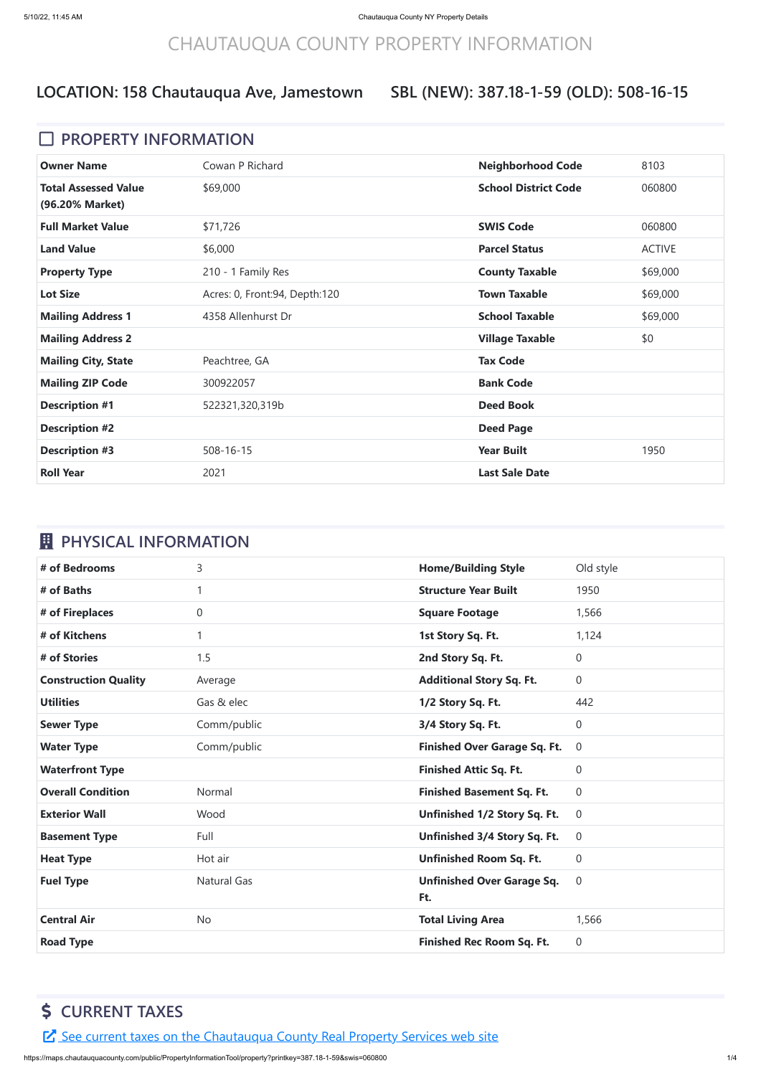# CHAUTAUQUA COUNTY PROPERTY INFORMATION

#### **SBL (NEW): 387.18-1-59 (OLD): 508-16-15**

#### **D** PROPERTY INFORMATION

| <b>Owner Name</b>                              | Cowan P Richard                 | <b>Neighborhood Code</b>    | 8103          |
|------------------------------------------------|---------------------------------|-----------------------------|---------------|
| <b>Total Assessed Value</b><br>(96.20% Market) | \$69,000                        | <b>School District Code</b> | 060800        |
| <b>Full Market Value</b>                       | \$71,726                        | <b>SWIS Code</b>            | 060800        |
| <b>Land Value</b>                              | \$6,000                         | <b>Parcel Status</b>        | <b>ACTIVE</b> |
| <b>Property Type</b>                           | 210 - 1 Family Res              | <b>County Taxable</b>       | \$69,000      |
| <b>Lot Size</b>                                | Acres: 0, Front: 94, Depth: 120 | <b>Town Taxable</b>         | \$69,000      |
| <b>Mailing Address 1</b>                       | 4358 Allenhurst Dr              | <b>School Taxable</b>       | \$69,000      |
| <b>Mailing Address 2</b>                       |                                 | <b>Village Taxable</b>      | \$0           |
| <b>Mailing City, State</b>                     | Peachtree, GA                   | <b>Tax Code</b>             |               |
| <b>Mailing ZIP Code</b>                        | 300922057                       | <b>Bank Code</b>            |               |
| <b>Description #1</b>                          | 522321,320,319b                 | <b>Deed Book</b>            |               |
| <b>Description #2</b>                          |                                 | <b>Deed Page</b>            |               |
| <b>Description #3</b>                          | $508 - 16 - 15$                 | <b>Year Built</b>           | 1950          |
| <b>Roll Year</b>                               | 2021                            | <b>Last Sale Date</b>       |               |

## *EL* PHYSICAL INFORMATION

| # of Bedrooms               | 3                  | <b>Home/Building Style</b>               | Old style      |
|-----------------------------|--------------------|------------------------------------------|----------------|
| # of Baths                  |                    | <b>Structure Year Built</b>              | 1950           |
| # of Fireplaces             | 0                  | <b>Square Footage</b>                    | 1,566          |
| # of Kitchens               |                    | 1st Story Sq. Ft.                        | 1,124          |
| # of Stories                | 1.5                | 2nd Story Sq. Ft.                        | $\overline{0}$ |
| <b>Construction Quality</b> | Average            | <b>Additional Story Sq. Ft.</b>          | $\overline{0}$ |
| <b>Utilities</b>            | Gas & elec         | 1/2 Story Sq. Ft.                        | 442            |
| <b>Sewer Type</b>           | Comm/public        | 3/4 Story Sq. Ft.                        | $\overline{0}$ |
| <b>Water Type</b>           | Comm/public        | <b>Finished Over Garage Sq. Ft.</b>      | $\overline{0}$ |
| <b>Waterfront Type</b>      |                    | <b>Finished Attic Sq. Ft.</b>            | $\overline{0}$ |
| <b>Overall Condition</b>    | Normal             | <b>Finished Basement Sq. Ft.</b>         | $\overline{0}$ |
| <b>Exterior Wall</b>        | Wood               | Unfinished 1/2 Story Sq. Ft.             | $\overline{0}$ |
| <b>Basement Type</b>        |                    |                                          |                |
|                             | Full               | Unfinished 3/4 Story Sq. Ft.             | $\overline{0}$ |
| <b>Heat Type</b>            | Hot air            | <b>Unfinished Room Sq. Ft.</b>           | $\overline{0}$ |
| <b>Fuel Type</b>            | <b>Natural Gas</b> | <b>Unfinished Over Garage Sq.</b><br>Ft. | $\overline{0}$ |
| <b>Central Air</b>          | <b>No</b>          | <b>Total Living Area</b>                 | 1,566          |

## **\$ CURRENT TAXES**

E See current taxes on the [Chautauqua](https://app.co.chautauqua.ny.us/cctaxonline/#/parcel/060800-387.18-1-59/current) County Real Property Services web site

https://maps.chautauquacounty.com/public/PropertyInformationTool/property?printkey=387.18-1-59&swis=060800 1/4

## **LOCATION: 158 Chautauqua Ave, Jamestown**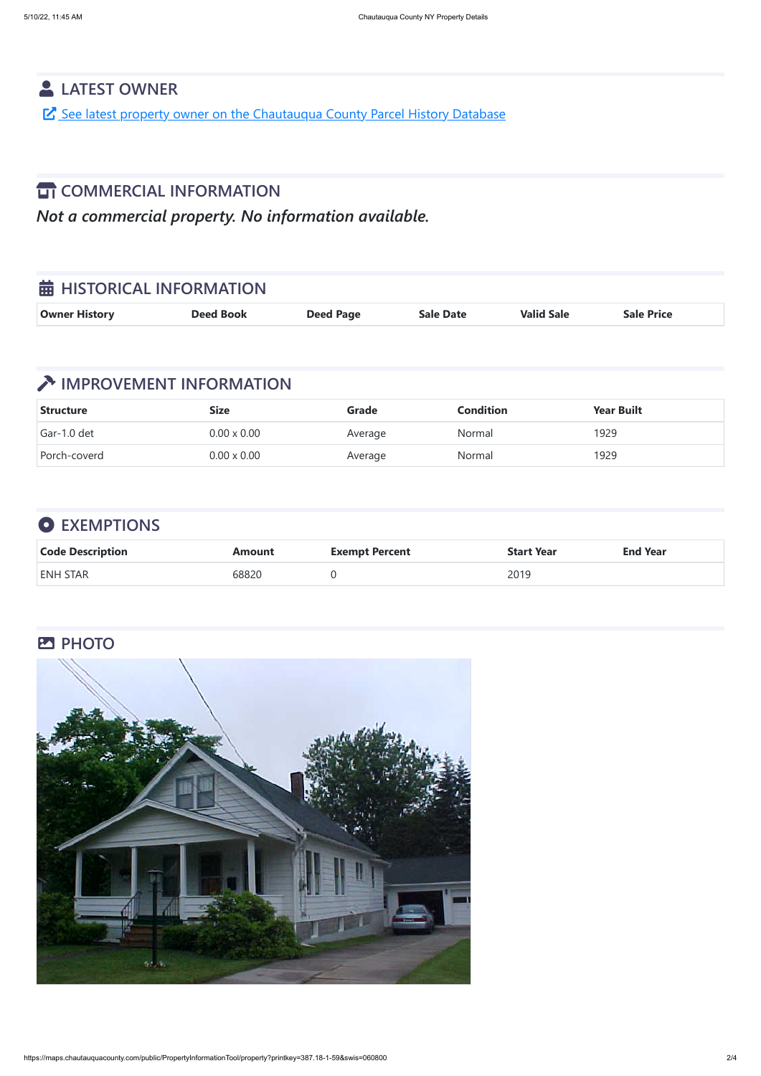https://maps.chautauquacounty.com/public/PropertyInformationTool/property?printkey=387.18-1-59&swis=060800 2/4

## **LATEST OWNER**

See latest property owner on the [Chautauqua](https://maps.chautauquacounty.com/Public/PHD/Default.aspx?ExternalRequest=true&phdPrintKey=387.18-1-59&phdSwiss=060800) County Parcel History Database

#### **TT COMMERCIAL INFORMATION**

*Not a commercial property. No information available.*

| <b>苗 HISTORICAL INFORMATION</b> |                  |                  |                  |                   |                   |
|---------------------------------|------------------|------------------|------------------|-------------------|-------------------|
| <b>Owner History</b>            | <b>Deed Book</b> | <b>Deed Page</b> | <b>Sale Date</b> | <b>Valid Sale</b> | <b>Sale Price</b> |

## **TEXT IMPROVEMENT INFORMATION**

| <b>Structure</b> | <b>Size</b>        | Grade   | <b>Condition</b> | <b>Year Built</b> |
|------------------|--------------------|---------|------------------|-------------------|
| Gar-1.0 det      | $0.00 \times 0.00$ | Average | Normal           | 1929              |
| Porch-coverd     | $0.00 \times 0.00$ | Average | Normal           | 1929              |

## **EXEMPTIONS**

| <b>Code Description</b> | <b>\mount</b>     | <b>Exempt Percent</b> | <b>Start Year</b> | <b>End Year</b> |
|-------------------------|-------------------|-----------------------|-------------------|-----------------|
| <b>ENH STAR</b>         | 0882 <sup>c</sup> |                       | 2019              |                 |

#### **PHOTO**

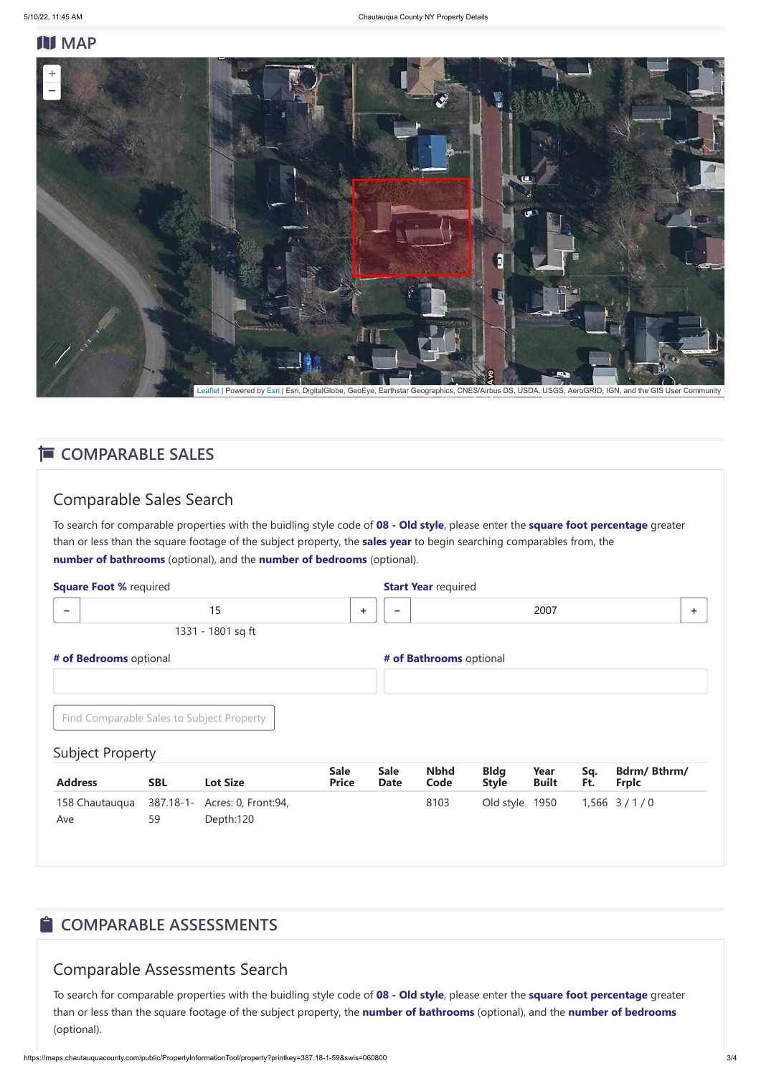#### **N** MAP

#### Comparable Sales Search

| <b>Square Foot % required</b> |                                           |                 |                             |                            | <b>Start Year required</b> |                             |                      |            |                                    |   |
|-------------------------------|-------------------------------------------|-----------------|-----------------------------|----------------------------|----------------------------|-----------------------------|----------------------|------------|------------------------------------|---|
| $\qquad \qquad \blacksquare$  | 15                                        |                 | ÷                           | $\overline{\phantom{a}}$   |                            |                             | 2007                 |            |                                    | ÷ |
|                               | 1331 - 1801 sq ft                         |                 |                             |                            |                            |                             |                      |            |                                    |   |
| # of Bedrooms optional        |                                           |                 |                             |                            | # of Bathrooms optional    |                             |                      |            |                                    |   |
|                               | Find Comparable Sales to Subject Property |                 |                             |                            |                            |                             |                      |            |                                    |   |
| <b>Subject Property</b>       |                                           |                 |                             |                            |                            |                             |                      |            |                                    |   |
| <b>Address</b>                | <b>SBL</b>                                | <b>Lot Size</b> | <b>Sale</b><br><b>Price</b> | <b>Sale</b><br><b>Date</b> | <b>Nbhd</b><br>Code        | <b>Bldg</b><br><b>Style</b> | Year<br><b>Built</b> | Sq.<br>Ft. | <b>Bdrm/Bthrm/</b><br><b>Frplc</b> |   |
| 158 Chautaugua                | 387.18-1- Acres: 0, Front: 94,            |                 |                             |                            | 8103                       | Old style                   | 1950                 |            | $1,566$ $3/1/0$                    |   |

To search for comparable properties with the buidling style code of **08 - Old style**, please enter the **square foot percentage** greater than or less than the square footage of the subject property, the **sales year** to begin searching comparables from, the **number of bathrooms** (optional), and the **number of bedrooms** (optional).

Ave 59 Depth:120

## $\hat{\blacksquare}$  **COMPARABLE ASSESSMENTS**

#### Comparable Assessments Search

To search for comparable properties with the buidling style code of **08 - Old style**, please enter the **square foot percentage** greater than or less than the square footage of the subject property, the **number of bathrooms** (optional), and the **number of bedrooms** (optional).



[Leaflet](http://leafletjs.com/) | Powered by [Esri](https://www.esri.com/) | Esri, DigitalGlobe, GeoEye, Earthstar Geographics, CNES/Airbus DS, USDA, USGS, AeroGRID, IGN, and the GIS User Community

#### **E** COMPARABLE SALES